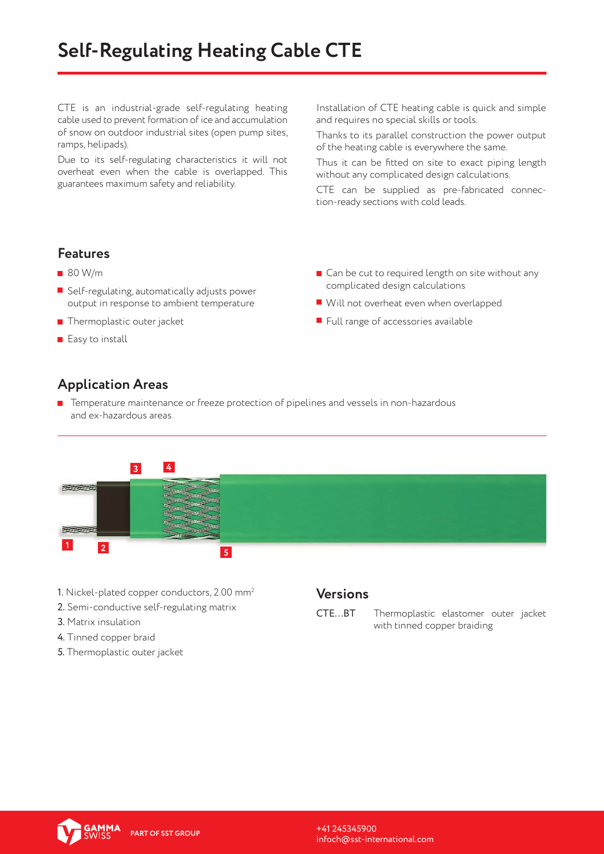CTE is an industrial-grade self-regulating heating cable used to prevent formation of ice and accumulation of snow on outdoor industrial sites (open pump sites, ramps, helipads).

Due to its self-regulating characteristics it will not overheat even when the cable is overlapped. This guarantees maximum safety and reliability.

Installation of CTE heating cable is quick and simple and requires no special skills or tools.

Thanks to its parallel construction the power output of the heating cable is everywhere the same.

Thus it can be fitted on site to exact piping length without any complicated design calculations.

CTE can be supplied as pre-fabricated connection-ready sections with cold leads.

### **Features**

- 80 W/m
- $\blacksquare$  Self-regulating, automatically adjusts power output in response to ambient temperature
- $\blacksquare$  Thermoplastic outer jacket
- $\blacksquare$  Easy to install
- Can be cut to required length on site without any complicated design calculations
- Will not overheat even when overlapped
- $\blacksquare$  Full range of accessories available

## **Application Areas**

**T** Temperature maintenance or freeze protection of pipelines and vessels in non-hazardous and ex-hazardous areas



- 1. Nickel-plated copper conductors, 2.00 mm2
- 2. Semi-conductive self-regulating matrix
- 3. Matrix insulation
- 4. Tinned copper braid
- 5. Thermoplastic outer jacket

#### **Versions**

СTЕ...BТ Thermoplastic elastomer outer jacket with tinned copper braiding